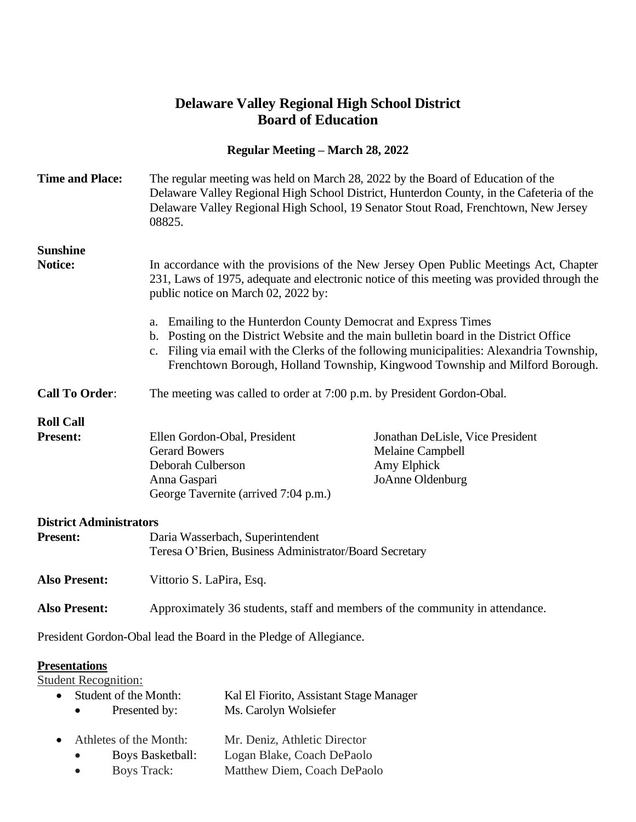## **Delaware Valley Regional High School District Board of Education**

## **Regular Meeting – March 28, 2022**

| <b>Time and Place:</b>              | The regular meeting was held on March 28, 2022 by the Board of Education of the<br>Delaware Valley Regional High School, 19 Senator Stout Road, Frenchtown, New Jersey<br>08825.                                                                                                                                                                                                                                                                                                                                                                                   | Delaware Valley Regional High School District, Hunterdon County, in the Cafeteria of the |  |  |
|-------------------------------------|--------------------------------------------------------------------------------------------------------------------------------------------------------------------------------------------------------------------------------------------------------------------------------------------------------------------------------------------------------------------------------------------------------------------------------------------------------------------------------------------------------------------------------------------------------------------|------------------------------------------------------------------------------------------|--|--|
| <b>Sunshine</b><br>Notice:          | In accordance with the provisions of the New Jersey Open Public Meetings Act, Chapter<br>231, Laws of 1975, adequate and electronic notice of this meeting was provided through the<br>public notice on March 02, 2022 by:<br>a. Emailing to the Hunterdon County Democrat and Express Times<br>b. Posting on the District Website and the main bulletin board in the District Office<br>c. Filing via email with the Clerks of the following municipalities: Alexandria Township,<br>Frenchtown Borough, Holland Township, Kingwood Township and Milford Borough. |                                                                                          |  |  |
| <b>Call To Order:</b>               | The meeting was called to order at 7:00 p.m. by President Gordon-Obal.                                                                                                                                                                                                                                                                                                                                                                                                                                                                                             |                                                                                          |  |  |
| <b>Roll Call</b><br><b>Present:</b> | Ellen Gordon-Obal, President<br><b>Gerard Bowers</b><br>Deborah Culberson<br>Anna Gaspari<br>George Tavernite (arrived 7:04 p.m.)                                                                                                                                                                                                                                                                                                                                                                                                                                  | Jonathan DeLisle, Vice President<br>Melaine Campbell<br>Amy Elphick<br>JoAnne Oldenburg  |  |  |
| <b>District Administrators</b>      |                                                                                                                                                                                                                                                                                                                                                                                                                                                                                                                                                                    |                                                                                          |  |  |
| <b>Present:</b>                     | Daria Wasserbach, Superintendent<br>Teresa O'Brien, Business Administrator/Board Secretary                                                                                                                                                                                                                                                                                                                                                                                                                                                                         |                                                                                          |  |  |
| <b>Also Present:</b>                | Vittorio S. LaPira, Esq.                                                                                                                                                                                                                                                                                                                                                                                                                                                                                                                                           |                                                                                          |  |  |
| <b>Also Present:</b>                | Approximately 36 students, staff and members of the community in attendance.                                                                                                                                                                                                                                                                                                                                                                                                                                                                                       |                                                                                          |  |  |
|                                     | President Gordon-Obal lead the Board in the Pledge of Allegiance.                                                                                                                                                                                                                                                                                                                                                                                                                                                                                                  |                                                                                          |  |  |

## **Presentations**

Student Recognition:

| $\bullet$ | $\bullet$ | Student of the Month:<br>Presented by: | Kal El Fiorito, Assistant Stage Manager<br>Ms. Carolyn Wolsiefer |
|-----------|-----------|----------------------------------------|------------------------------------------------------------------|
|           |           | • Athletes of the Month:               | Mr. Deniz, Athletic Director                                     |
|           | $\bullet$ | Boys Basketball:                       | Logan Blake, Coach DePaolo                                       |
|           | $\bullet$ | Boys Track:                            | Matthew Diem, Coach DePaolo                                      |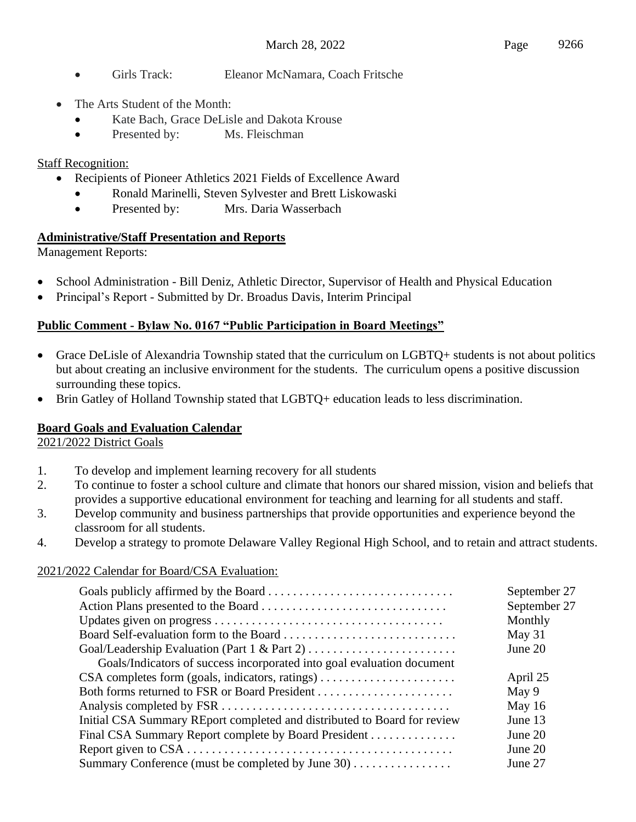- Girls Track: Eleanor McNamara, Coach Fritsche
- The Arts Student of the Month:
	- Kate Bach, Grace DeLisle and Dakota Krouse
	- Presented by: Ms. Fleischman

## Staff Recognition:

- Recipients of Pioneer Athletics 2021 Fields of Excellence Award
	- Ronald Marinelli, Steven Sylvester and Brett Liskowaski
	- Presented by: Mrs. Daria Wasserbach

## **Administrative/Staff Presentation and Reports**

Management Reports:

- School Administration Bill Deniz, Athletic Director, Supervisor of Health and Physical Education
- Principal's Report Submitted by Dr. Broadus Davis, Interim Principal

## **Public Comment - Bylaw No. 0167 "Public Participation in Board Meetings"**

- Grace DeLisle of Alexandria Township stated that the curriculum on LGBTQ+ students is not about politics but about creating an inclusive environment for the students. The curriculum opens a positive discussion surrounding these topics.
- Brin Gatley of Holland Township stated that LGBTQ+ education leads to less discrimination.

## **Board Goals and Evaluation Calendar**

#### 2021/2022 District Goals

- 1. To develop and implement learning recovery for all students
- 2. To continue to foster a school culture and climate that honors our shared mission, vision and beliefs that provides a supportive educational environment for teaching and learning for all students and staff.
- 3. Develop community and business partnerships that provide opportunities and experience beyond the classroom for all students.
- 4. Develop a strategy to promote Delaware Valley Regional High School, and to retain and attract students.

#### 2021/2022 Calendar for Board/CSA Evaluation:

| September 27<br>September 27 |
|------------------------------|
| Monthly                      |
| May 31                       |
| June 20                      |
|                              |
| April 25                     |
| May 9                        |
| May $16$                     |
| June 13                      |
| June 20                      |
| June 20                      |
| June 27                      |
|                              |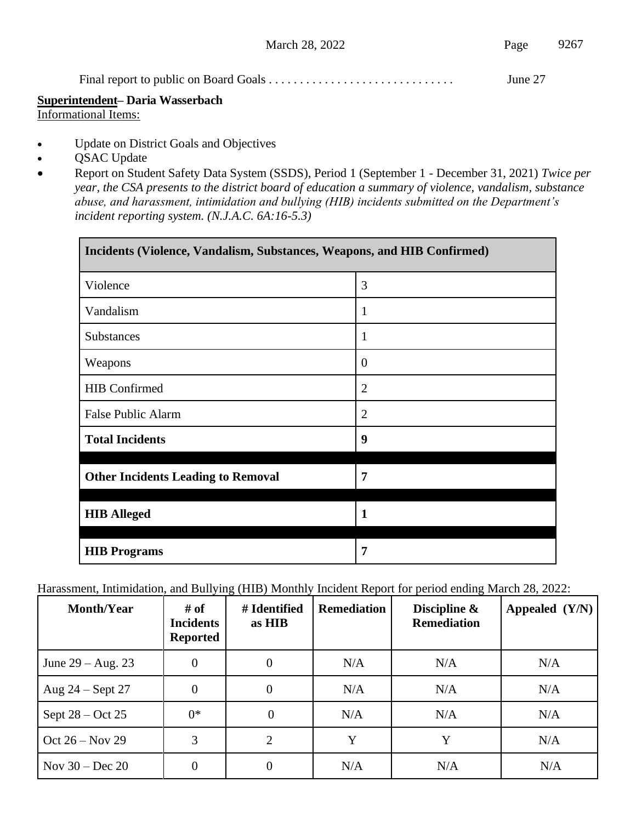|  | June 27 |
|--|---------|
|--|---------|

# **Superintendent– Daria Wasserbach**

Informational Items:

- Update on District Goals and Objectives
- QSAC Update
- Report on Student Safety Data System (SSDS), Period 1 (September 1 December 31, 2021) *Twice per year, the CSA presents to the district board of education a summary of violence, vandalism, substance abuse, and harassment, intimidation and bullying (HIB) incidents submitted on the Department's incident reporting system. (N.J.A.C. 6A:16-5.3)*

| Incidents (Violence, Vandalism, Substances, Weapons, and HIB Confirmed) |                |  |  |  |
|-------------------------------------------------------------------------|----------------|--|--|--|
| Violence                                                                | 3              |  |  |  |
| Vandalism                                                               | 1              |  |  |  |
| <b>Substances</b>                                                       | 1              |  |  |  |
| Weapons                                                                 | $\theta$       |  |  |  |
| <b>HIB</b> Confirmed                                                    | $\overline{2}$ |  |  |  |
| <b>False Public Alarm</b>                                               | $\overline{2}$ |  |  |  |
| <b>Total Incidents</b>                                                  | 9              |  |  |  |
| <b>Other Incidents Leading to Removal</b>                               | 7              |  |  |  |
| <b>HIB Alleged</b>                                                      | $\mathbf{1}$   |  |  |  |
| <b>HIB</b> Programs                                                     | 7              |  |  |  |

Harassment, Intimidation, and Bullying (HIB) Monthly Incident Report for period ending March 28, 2022:

| <b>Month/Year</b>   | # of<br><b>Incidents</b><br><b>Reported</b> | # Identified<br>as HIB | <b>Remediation</b> | Discipline &<br><b>Remediation</b> | Appealed $(Y/N)$ |
|---------------------|---------------------------------------------|------------------------|--------------------|------------------------------------|------------------|
| June $29 - Aug. 23$ | $\overline{0}$                              | $\overline{0}$         | N/A                | N/A                                | N/A              |
| Aug $24$ – Sept 27  | $\overline{0}$                              | $\overline{0}$         | N/A                | N/A                                | N/A              |
| Sept $28 - Oct 25$  | $0^*$                                       | 0                      | N/A                | N/A                                | N/A              |
| Oct $26 - Nov 29$   | 3                                           | 2                      | Y                  | Y                                  | N/A              |
| Nov $30 - Dec 20$   | 0                                           |                        | N/A                | N/A                                | N/A              |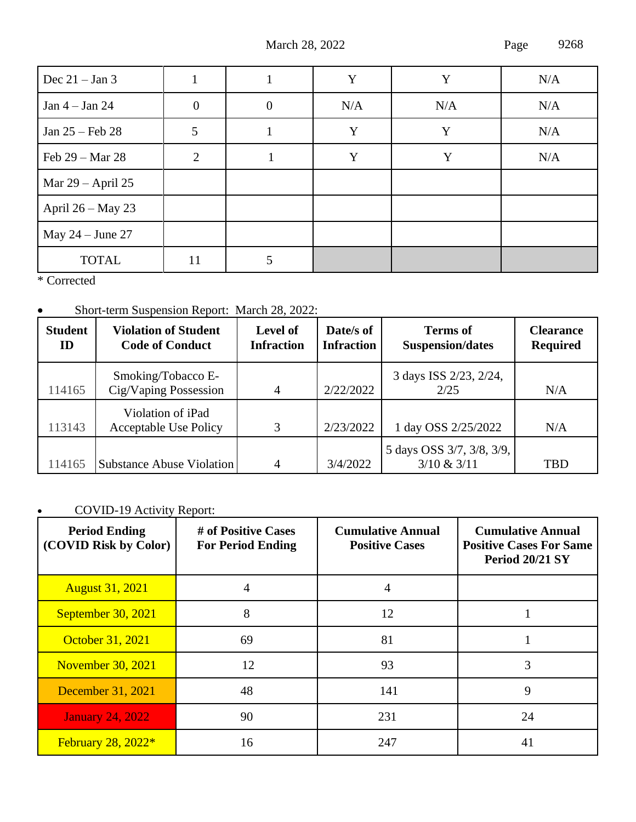March 28, 2022 Page 9268

| Dec $21 - Jan 3$    |                |          | Y   | Y   | N/A |
|---------------------|----------------|----------|-----|-----|-----|
| Jan $4 -$ Jan $24$  | $\overline{0}$ | $\theta$ | N/A | N/A | N/A |
| Jan $25$ – Feb 28   | 5              |          | Y   | Y   | N/A |
| Feb 29 – Mar 28     | $\overline{2}$ |          | Y   | Y   | N/A |
| Mar $29$ – April 25 |                |          |     |     |     |
| April $26 - May 23$ |                |          |     |     |     |
| May $24$ – June 27  |                |          |     |     |     |
| <b>TOTAL</b>        | 11             | 5        |     |     |     |

\* Corrected

## • Short-term Suspension Report: March 28, 2022:

| <b>Student</b><br>ID | <b>Violation of Student</b><br><b>Code of Conduct</b> | <b>Level of</b><br><b>Infraction</b> | Date/s of<br><b>Infraction</b> | <b>Terms of</b><br><b>Suspension/dates</b> | <b>Clearance</b><br><b>Required</b> |
|----------------------|-------------------------------------------------------|--------------------------------------|--------------------------------|--------------------------------------------|-------------------------------------|
| 114165               | Smoking/Tobacco E-<br>Cig/Vaping Possession           | $\overline{4}$                       | 2/22/2022                      | 3 days ISS 2/23, 2/24,<br>2/25             | N/A                                 |
| 113143               | Violation of iPad<br><b>Acceptable Use Policy</b>     | 3                                    | 2/23/2022                      | 1 day OSS 2/25/2022                        | N/A                                 |
| 114165               | <b>Substance Abuse Violation</b>                      | $\overline{4}$                       | 3/4/2022                       | 5 days OSS 3/7, 3/8, 3/9,<br>3/10 & 3/11   | <b>TBD</b>                          |

## • COVID-19 Activity Report:

| <b>Period Ending</b><br>(COVID Risk by Color) | # of Positive Cases<br><b>For Period Ending</b> | <b>Cumulative Annual</b><br><b>Positive Cases</b> | <b>Cumulative Annual</b><br><b>Positive Cases For Same</b><br><b>Period 20/21 SY</b> |
|-----------------------------------------------|-------------------------------------------------|---------------------------------------------------|--------------------------------------------------------------------------------------|
| <b>August 31, 2021</b>                        |                                                 | 4                                                 |                                                                                      |
| September 30, 2021                            | 8                                               | 12                                                |                                                                                      |
| October 31, 2021                              | 69                                              | 81                                                |                                                                                      |
| <b>November 30, 2021</b>                      | 12                                              | 93                                                | 3                                                                                    |
| December 31, 2021                             | 48                                              | 141                                               | 9                                                                                    |
| <b>January 24, 2022</b>                       | 90                                              | 231                                               | 24                                                                                   |
| February $28, 2022*$                          | 16                                              | 247                                               | 41                                                                                   |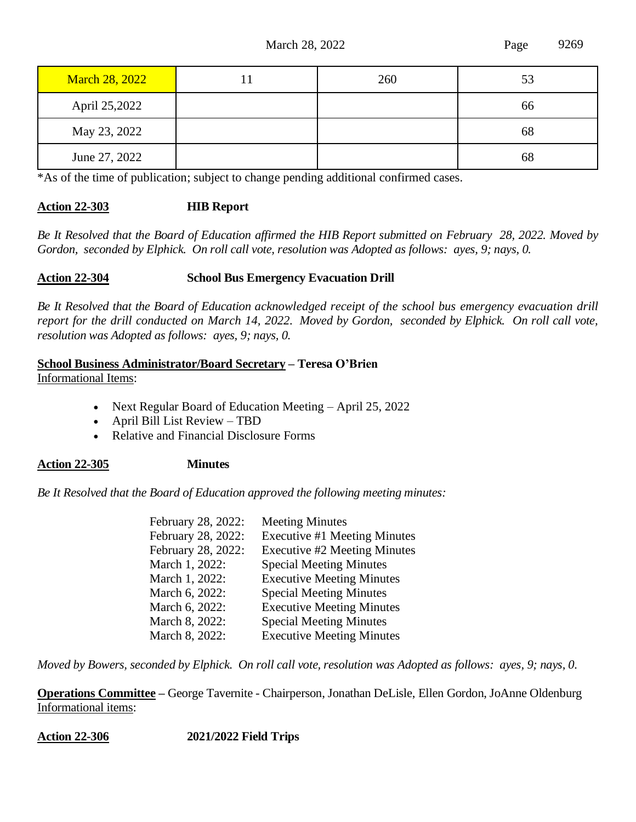| <b>March 28, 2022</b> | 260 | 53 |
|-----------------------|-----|----|
| April 25,2022         |     | 66 |
| May 23, 2022          |     | 68 |
| June 27, 2022         |     | 68 |

\*As of the time of publication; subject to change pending additional confirmed cases.

#### **Action 22-303 HIB Report**

*Be It Resolved that the Board of Education affirmed the HIB Report submitted on February 28, 2022. Moved by Gordon, seconded by Elphick. On roll call vote, resolution was Adopted as follows: ayes, 9; nays, 0.*

#### **Action 22-304 School Bus Emergency Evacuation Drill**

*Be It Resolved that the Board of Education acknowledged receipt of the school bus emergency evacuation drill report for the drill conducted on March 14, 2022. Moved by Gordon, seconded by Elphick. On roll call vote, resolution was Adopted as follows: ayes, 9; nays, 0.*

#### **School Business Administrator/Board Secretary – Teresa O'Brien** Informational Items:

- Next Regular Board of Education Meeting April 25, 2022
- April Bill List Review TBD
- Relative and Financial Disclosure Forms

#### **Action 22-305 Minutes**

*Be It Resolved that the Board of Education approved the following meeting minutes:*

| February 28, 2022: | <b>Meeting Minutes</b>           |
|--------------------|----------------------------------|
| February 28, 2022: | Executive #1 Meeting Minutes     |
| February 28, 2022: | Executive #2 Meeting Minutes     |
| March 1, 2022:     | <b>Special Meeting Minutes</b>   |
| March 1, 2022:     | <b>Executive Meeting Minutes</b> |
| March 6, 2022:     | <b>Special Meeting Minutes</b>   |
| March 6, 2022:     | <b>Executive Meeting Minutes</b> |
| March 8, 2022:     | <b>Special Meeting Minutes</b>   |
| March 8, 2022:     | <b>Executive Meeting Minutes</b> |

*Moved by Bowers, seconded by Elphick. On roll call vote, resolution was Adopted as follows: ayes, 9; nays, 0.*

**Operations Committee –** George Tavernite - Chairperson, Jonathan DeLisle, Ellen Gordon, JoAnne Oldenburg Informational items:

**Action 22-306 2021/2022 Field Trips**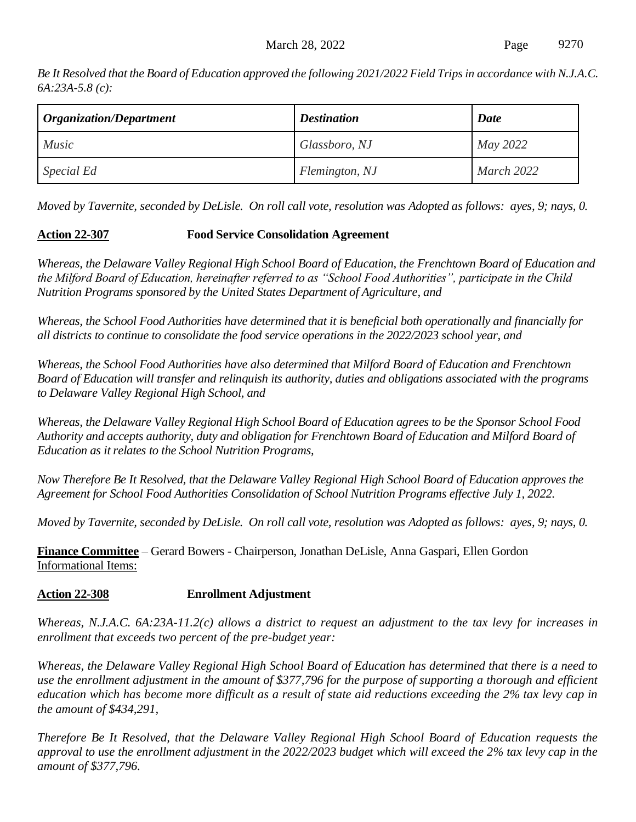*Be It Resolved that the Board of Education approved the following 2021/2022 Field Trips in accordance with N.J.A.C. 6A:23A-5.8 (c):*

| <b>Organization/Department</b> | <b>Destination</b> | Date       |
|--------------------------------|--------------------|------------|
| <i>Music</i>                   | Glassboro, NJ      | May 2022   |
| <i>Special Ed</i>              | Flemington, NJ     | March 2022 |

*Moved by Tavernite, seconded by DeLisle. On roll call vote, resolution was Adopted as follows: ayes, 9; nays, 0.*

## **Action 22-307 Food Service Consolidation Agreement**

*Whereas, the Delaware Valley Regional High School Board of Education, the Frenchtown Board of Education and the Milford Board of Education, hereinafter referred to as "School Food Authorities", participate in the Child Nutrition Programs sponsored by the United States Department of Agriculture, and*

*Whereas, the School Food Authorities have determined that it is beneficial both operationally and financially for all districts to continue to consolidate the food service operations in the 2022/2023 school year, and*

*Whereas, the School Food Authorities have also determined that Milford Board of Education and Frenchtown Board of Education will transfer and relinquish its authority, duties and obligations associated with the programs to Delaware Valley Regional High School, and*

*Whereas, the Delaware Valley Regional High School Board of Education agrees to be the Sponsor School Food Authority and accepts authority, duty and obligation for Frenchtown Board of Education and Milford Board of Education as it relates to the School Nutrition Programs,*

*Now Therefore Be It Resolved, that the Delaware Valley Regional High School Board of Education approves the Agreement for School Food Authorities Consolidation of School Nutrition Programs effective July 1, 2022.*

*Moved by Tavernite, seconded by DeLisle. On roll call vote, resolution was Adopted as follows: ayes, 9; nays, 0.*

**Finance Committee** – Gerard Bowers - Chairperson, Jonathan DeLisle, Anna Gaspari, Ellen Gordon Informational Items:

## **Action 22-308 Enrollment Adjustment**

*Whereas, N.J.A.C. 6A:23A-11.2(c) allows a district to request an adjustment to the tax levy for increases in enrollment that exceeds two percent of the pre-budget year:*

*Whereas, the Delaware Valley Regional High School Board of Education has determined that there is a need to use the enrollment adjustment in the amount of \$377,796 for the purpose of supporting a thorough and efficient education which has become more difficult as a result of state aid reductions exceeding the 2% tax levy cap in the amount of \$434,291,*

*Therefore Be It Resolved, that the Delaware Valley Regional High School Board of Education requests the approval to use the enrollment adjustment in the 2022/2023 budget which will exceed the 2% tax levy cap in the amount of \$377,796.*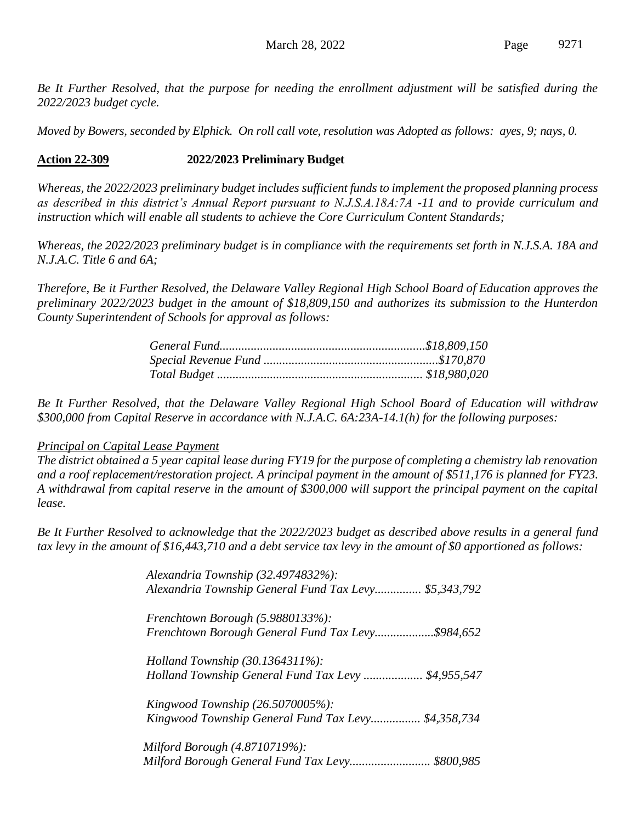*Be It Further Resolved, that the purpose for needing the enrollment adjustment will be satisfied during the 2022/2023 budget cycle.*

*Moved by Bowers, seconded by Elphick. On roll call vote, resolution was Adopted as follows: ayes, 9; nays, 0.*

#### **Action 22-309 2022/2023 Preliminary Budget**

*Whereas, the 2022/2023 preliminary budget includes sufficient funds to implement the proposed planning process as described in this district's Annual Report pursuant to N.J.S.A.18A:7A -11 and to provide curriculum and instruction which will enable all students to achieve the Core Curriculum Content Standards;*

*Whereas, the 2022/2023 preliminary budget is in compliance with the requirements set forth in N.J.S.A. 18A and N.J.A.C. Title 6 and 6A;*

*Therefore, Be it Further Resolved, the Delaware Valley Regional High School Board of Education approves the preliminary 2022/2023 budget in the amount of \$18,809,150 and authorizes its submission to the Hunterdon County Superintendent of Schools for approval as follows:*

*Be It Further Resolved, that the Delaware Valley Regional High School Board of Education will withdraw \$300,000 from Capital Reserve in accordance with N.J.A.C. 6A:23A-14.1(h) for the following purposes:*

#### *Principal on Capital Lease Payment*

*The district obtained a 5 year capital lease during FY19 for the purpose of completing a chemistry lab renovation and a roof replacement/restoration project. A principal payment in the amount of \$511,176 is planned for FY23. A withdrawal from capital reserve in the amount of \$300,000 will support the principal payment on the capital lease.*

*Be It Further Resolved to acknowledge that the 2022/2023 budget as described above results in a general fund tax levy in the amount of \$16,443,710 and a debt service tax levy in the amount of \$0 apportioned as follows:*

> *Alexandria Township (32.4974832%): Alexandria Township General Fund Tax Levy............... \$5,343,792 Frenchtown Borough (5.9880133%): Frenchtown Borough General Fund Tax Levy...................\$984,652 Holland Township (30.1364311%): Holland Township General Fund Tax Levy ................... \$4,955,547 Kingwood Township (26.5070005%): Kingwood Township General Fund Tax Levy................ \$4,358,734 Milford Borough (4.8710719%): Milford Borough General Fund Tax Levy.......................... \$800,985*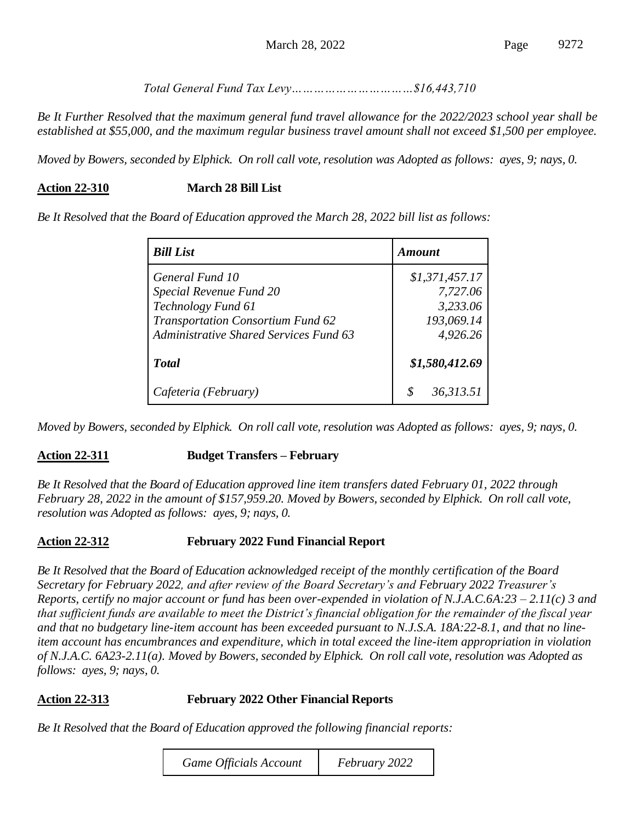*Total General Fund Tax Levy……………………………\$16,443,710*

*Be It Further Resolved that the maximum general fund travel allowance for the 2022/2023 school year shall be established at \$55,000, and the maximum regular business travel amount shall not exceed \$1,500 per employee.*

*Moved by Bowers, seconded by Elphick. On roll call vote, resolution was Adopted as follows: ayes, 9; nays, 0.*

#### **Action 22-310 March 28 Bill List**

*Be It Resolved that the Board of Education approved the March 28, 2022 bill list as follows:*

| <b>Bill List</b>                                                                                                                                       | <i><b>Amount</b></i>                                             |  |
|--------------------------------------------------------------------------------------------------------------------------------------------------------|------------------------------------------------------------------|--|
| General Fund 10<br>Special Revenue Fund 20<br>Technology Fund 61<br>Transportation Consortium Fund 62<br><b>Administrative Shared Services Fund 63</b> | \$1,371,457.17<br>7,727.06<br>3,233.06<br>193,069.14<br>4,926.26 |  |
| <b>T</b> otal                                                                                                                                          | \$1,580,412.69                                                   |  |
| Cafeteria (February)                                                                                                                                   | 36,313.51                                                        |  |

*Moved by Bowers, seconded by Elphick. On roll call vote, resolution was Adopted as follows: ayes, 9; nays, 0.*

#### **Action 22-311 Budget Transfers – February**

*Be It Resolved that the Board of Education approved line item transfers dated February 01, 2022 through February 28, 2022 in the amount of \$157,959.20. Moved by Bowers, seconded by Elphick. On roll call vote, resolution was Adopted as follows: ayes, 9; nays, 0.*

#### **Action 22-312 February 2022 Fund Financial Report**

*Be It Resolved that the Board of Education acknowledged receipt of the monthly certification of the Board Secretary for February 2022, and after review of the Board Secretary's and February 2022 Treasurer's Reports, certify no major account or fund has been over-expended in violation of N.J.A.C.6A:23 – 2.11(c) 3 and that sufficient funds are available to meet the District's financial obligation for the remainder of the fiscal year and that no budgetary line-item account has been exceeded pursuant to N.J.S.A. 18A:22-8.1, and that no lineitem account has encumbrances and expenditure, which in total exceed the line-item appropriation in violation of N.J.A.C. 6A23-2.11(a). Moved by Bowers, seconded by Elphick. On roll call vote, resolution was Adopted as follows: ayes, 9; nays, 0.*

#### **Action 22-313 February 2022 Other Financial Reports**

*Be It Resolved that the Board of Education approved the following financial reports:*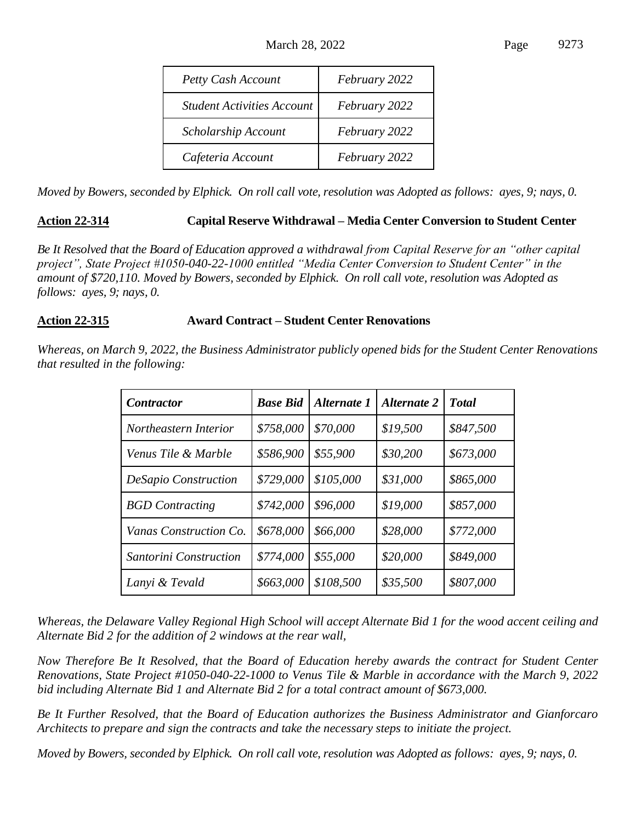| Petty Cash Account                | February 2022 |
|-----------------------------------|---------------|
| <b>Student Activities Account</b> | February 2022 |
| Scholarship Account               | February 2022 |
| Cafeteria Account                 | February 2022 |

*Moved by Bowers, seconded by Elphick. On roll call vote, resolution was Adopted as follows: ayes, 9; nays, 0.*

## **Action 22-314 Capital Reserve Withdrawal – Media Center Conversion to Student Center**

*Be It Resolved that the Board of Education approved a withdrawal from Capital Reserve for an "other capital project", State Project #1050-040-22-1000 entitled "Media Center Conversion to Student Center" in the amount of \$720,110. Moved by Bowers, seconded by Elphick. On roll call vote, resolution was Adopted as follows: ayes, 9; nays, 0.*

#### **Action 22-315 Award Contract – Student Center Renovations**

*Whereas, on March 9, 2022, the Business Administrator publicly opened bids for the Student Center Renovations that resulted in the following:*

| <b>Contractor</b>      | <b>Base Bid</b> | Alternate 1 | <b>Alternate 2</b> | <b>T</b> otal |
|------------------------|-----------------|-------------|--------------------|---------------|
| Northeastern Interior  | \$758,000       | \$70,000    | \$19,500           | \$847,500     |
| Venus Tile & Marble    | \$586,900       | \$55,900    | \$30,200           | \$673,000     |
| DeSapio Construction   | \$729,000       | \$105,000   | \$31,000           | \$865,000     |
| <b>BGD</b> Contracting | \$742,000       | \$96,000    | \$19,000           | \$857,000     |
| Vanas Construction Co. | \$678,000       | \$66,000    | \$28,000           | \$772,000     |
| Santorini Construction | \$774,000       | \$55,000    | \$20,000           | \$849,000     |
| Lanyi & Tevald         | \$663,000       | \$108,500   | \$35,500           | \$807,000     |

*Whereas, the Delaware Valley Regional High School will accept Alternate Bid 1 for the wood accent ceiling and Alternate Bid 2 for the addition of 2 windows at the rear wall,*

*Now Therefore Be It Resolved, that the Board of Education hereby awards the contract for Student Center Renovations, State Project #1050-040-22-1000 to Venus Tile & Marble in accordance with the March 9, 2022 bid including Alternate Bid 1 and Alternate Bid 2 for a total contract amount of \$673,000.*

*Be It Further Resolved, that the Board of Education authorizes the Business Administrator and Gianforcaro Architects to prepare and sign the contracts and take the necessary steps to initiate the project.*

*Moved by Bowers, seconded by Elphick. On roll call vote, resolution was Adopted as follows: ayes, 9; nays, 0.*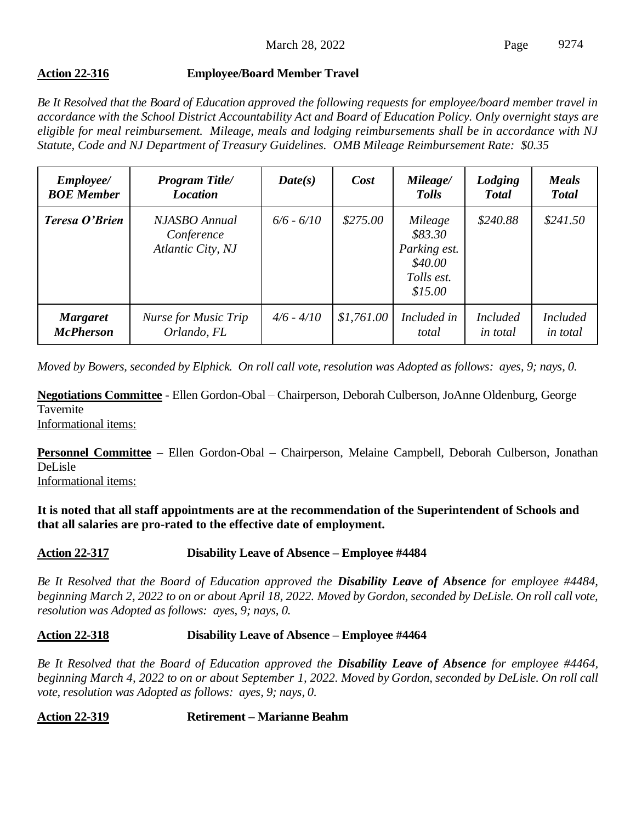## **Action 22-316 Employee/Board Member Travel**

*Be It Resolved that the Board of Education approved the following requests for employee/board member travel in accordance with the School District Accountability Act and Board of Education Policy. Only overnight stays are eligible for meal reimbursement. Mileage, meals and lodging reimbursements shall be in accordance with NJ Statute, Code and NJ Department of Treasury Guidelines. OMB Mileage Reimbursement Rate: \$0.35*

| <i>Employee</i> /<br><b>BOE</b> Member | <b>Program Title/</b><br><b>Location</b>         | Date(s)      | Cost       | Mileage/<br><b>Tolls</b>                                               | Lodging<br><b>Total</b>            | <b>Meals</b><br><b>Total</b>       |
|----------------------------------------|--------------------------------------------------|--------------|------------|------------------------------------------------------------------------|------------------------------------|------------------------------------|
| Teresa O'Brien                         | NJASBO Annual<br>Conference<br>Atlantic City, NJ | $6/6 - 6/10$ | \$275.00   | Mileage<br>\$83.30<br>Parking est.<br>\$40.00<br>Tolls est.<br>\$15.00 | \$240.88                           | \$241.50                           |
| <b>Margaret</b><br><b>McPherson</b>    | Nurse for Music Trip<br>Orlando, FL              | $4/6 - 4/10$ | \$1,761.00 | Included in<br>total                                                   | <i>Included</i><br><i>in total</i> | <b>Included</b><br><i>in total</i> |

*Moved by Bowers, seconded by Elphick. On roll call vote, resolution was Adopted as follows: ayes, 9; nays, 0.*

**Negotiations Committee** - Ellen Gordon-Obal – Chairperson, Deborah Culberson, JoAnne Oldenburg, George **Tavernite** Informational items:

**Personnel Committee** – Ellen Gordon-Obal – Chairperson, Melaine Campbell, Deborah Culberson, Jonathan DeLisle

Informational items:

**It is noted that all staff appointments are at the recommendation of the Superintendent of Schools and that all salaries are pro-rated to the effective date of employment.**

#### **Action 22-317 Disability Leave of Absence – Employee #4484**

*Be It Resolved that the Board of Education approved the Disability Leave of Absence for employee #4484, beginning March 2, 2022 to on or about April 18, 2022. Moved by Gordon, seconded by DeLisle. On roll call vote, resolution was Adopted as follows: ayes, 9; nays, 0.*

#### **Action 22-318 Disability Leave of Absence – Employee #4464**

*Be It Resolved that the Board of Education approved the Disability Leave of Absence for employee #4464, beginning March 4, 2022 to on or about September 1, 2022. Moved by Gordon, seconded by DeLisle. On roll call vote, resolution was Adopted as follows: ayes, 9; nays, 0.*

**Action 22-319 Retirement – Marianne Beahm**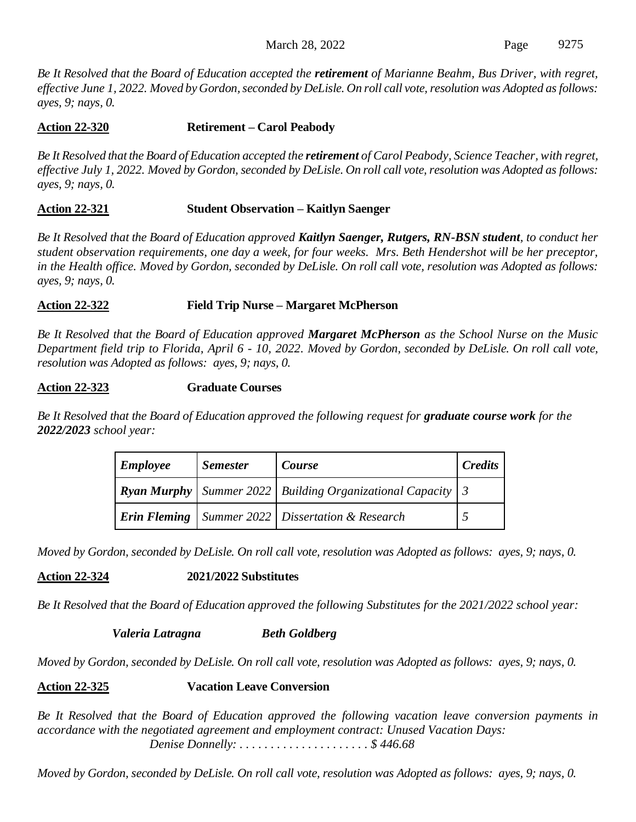*Be It Resolved that the Board of Education accepted the retirement of Marianne Beahm, Bus Driver, with regret, effective June 1, 2022. Moved by Gordon, seconded by DeLisle. On roll call vote, resolution was Adopted as follows: ayes, 9; nays, 0.*

## **Action 22-320 Retirement – Carol Peabody**

*Be It Resolved that the Board of Education accepted the retirement of Carol Peabody, Science Teacher, with regret, effective July 1, 2022. Moved by Gordon, seconded by DeLisle. On roll call vote, resolution was Adopted as follows: ayes, 9; nays, 0.*

#### **Action 22-321 Student Observation – Kaitlyn Saenger**

*Be It Resolved that the Board of Education approved Kaitlyn Saenger, Rutgers, RN-BSN student, to conduct her student observation requirements, one day a week, for four weeks. Mrs. Beth Hendershot will be her preceptor, in the Health office. Moved by Gordon, seconded by DeLisle. On roll call vote, resolution was Adopted as follows: ayes, 9; nays, 0.*

#### **Action 22-322 Field Trip Nurse – Margaret McPherson**

*Be It Resolved that the Board of Education approved Margaret McPherson as the School Nurse on the Music Department field trip to Florida, April 6 - 10, 2022. Moved by Gordon, seconded by DeLisle. On roll call vote, resolution was Adopted as follows: ayes, 9; nays, 0.*

#### **Action 22-323 Graduate Courses**

*Be It Resolved that the Board of Education approved the following request for graduate course work for the 2022/2023 school year:*

| <b>Employee</b> | <b>Semester</b> | Course                                                                          | <b>Credits</b> |
|-----------------|-----------------|---------------------------------------------------------------------------------|----------------|
|                 |                 | <b>Ryan Murphy</b> Summer 2022 Building Organizational Capacity $\vert 3 \vert$ |                |
|                 |                 | <b>Erin Fleming</b>   Summer 2022   Dissertation & Research                     |                |

*Moved by Gordon, seconded by DeLisle. On roll call vote, resolution was Adopted as follows: ayes, 9; nays, 0.*

**Action 22-324 2021/2022 Substitutes**

*Be It Resolved that the Board of Education approved the following Substitutes for the 2021/2022 school year:*

*Valeria Latragna Beth Goldberg*

*Moved by Gordon, seconded by DeLisle. On roll call vote, resolution was Adopted as follows: ayes, 9; nays, 0.*

#### **Action 22-325 Vacation Leave Conversion**

*Be It Resolved that the Board of Education approved the following vacation leave conversion payments in accordance with the negotiated agreement and employment contract: Unused Vacation Days: Denise Donnelly: . . . . . . . . . . . . . . . . . . . . . \$ 446.68*

*Moved by Gordon, seconded by DeLisle. On roll call vote, resolution was Adopted as follows: ayes, 9; nays, 0.*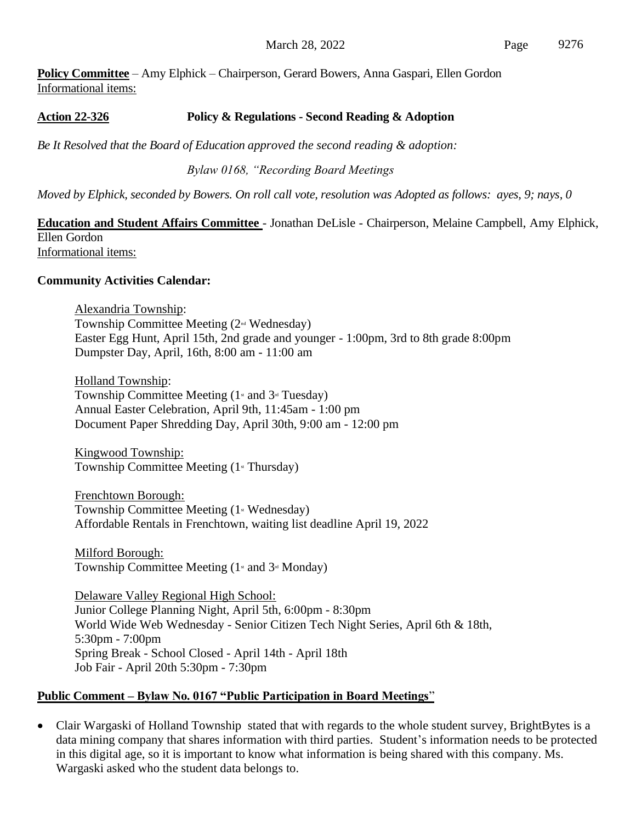**Policy Committee** – Amy Elphick – Chairperson, Gerard Bowers, Anna Gaspari, Ellen Gordon Informational items:

## **Action 22-326 Policy & Regulations - Second Reading & Adoption**

*Be It Resolved that the Board of Education approved the second reading & adoption:*

*Bylaw 0168, "Recording Board Meetings*

*Moved by Elphick, seconded by Bowers. On roll call vote, resolution was Adopted as follows: ayes, 9; nays, 0*

#### **Education and Student Affairs Committee** - Jonathan DeLisle - Chairperson, Melaine Campbell, Amy Elphick, Ellen Gordon Informational items:

#### **Community Activities Calendar:**

Alexandria Township: Township Committee Meeting (2nd Wednesday) Easter Egg Hunt, April 15th, 2nd grade and younger - 1:00pm, 3rd to 8th grade 8:00pm Dumpster Day, April, 16th, 8:00 am - 11:00 am

Holland Township: Township Committee Meeting  $(1 \times 1)$  and  $3 \times 1$  Tuesday) Annual Easter Celebration, April 9th, 11:45am - 1:00 pm Document Paper Shredding Day, April 30th, 9:00 am - 12:00 pm

Kingwood Township: Township Committee Meeting  $(1 \times \text{Thursday})$ 

Frenchtown Borough: Township Committee Meeting  $(1 \times$  Wednesday) Affordable Rentals in Frenchtown, waiting list deadline April 19, 2022

Milford Borough: Township Committee Meeting  $(1 \times 1)$  and  $3 \times 1$  Monday)

Delaware Valley Regional High School: Junior College Planning Night, April 5th, 6:00pm - 8:30pm World Wide Web Wednesday - Senior Citizen Tech Night Series, April 6th & 18th, 5:30pm - 7:00pm Spring Break - School Closed - April 14th - April 18th Job Fair - April 20th 5:30pm - 7:30pm

#### **Public Comment – Bylaw No. 0167 "Public Participation in Board Meetings**"

• Clair Wargaski of Holland Township stated that with regards to the whole student survey, BrightBytes is a data mining company that shares information with third parties. Student's information needs to be protected in this digital age, so it is important to know what information is being shared with this company. Ms. Wargaski asked who the student data belongs to.